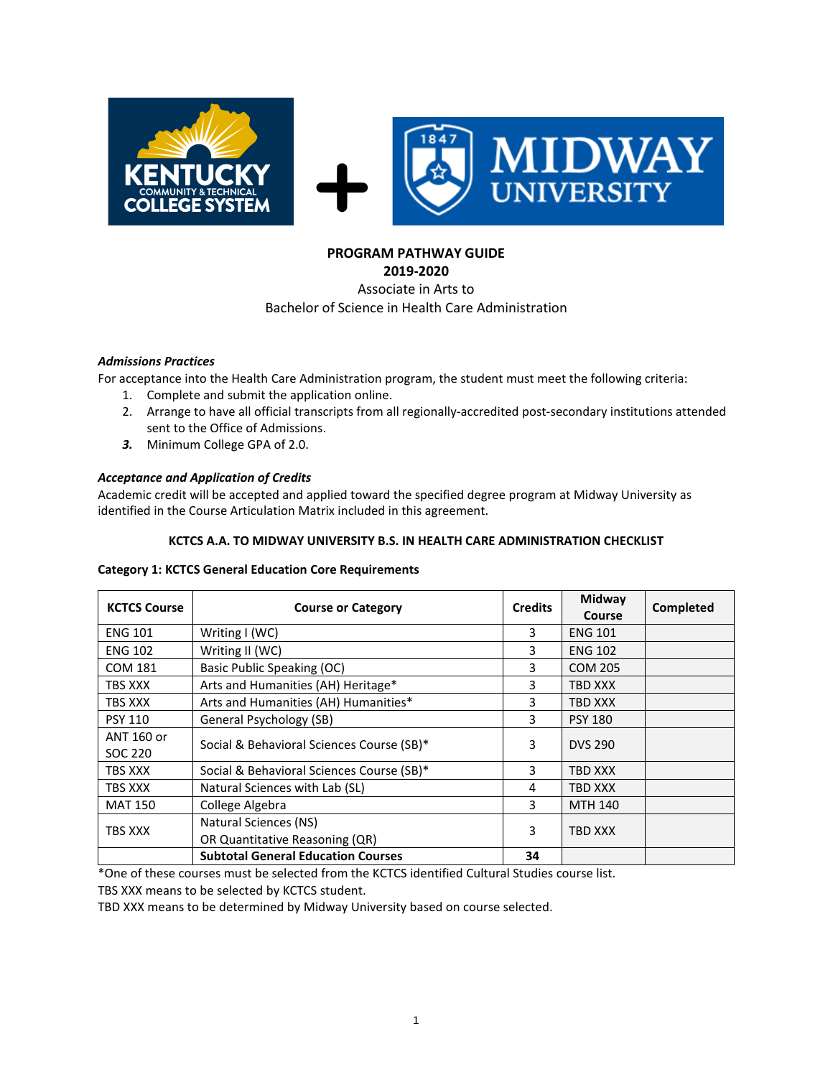

# **PROGRAM PATHWAY GUIDE**

**2019-2020**

#### Associate in Arts to Bachelor of Science in Health Care Administration

#### *Admissions Practices*

For acceptance into the Health Care Administration program, the student must meet the following criteria:

- 1. Complete and submit the application online.
- 2. Arrange to have all official transcripts from all regionally-accredited post-secondary institutions attended sent to the Office of Admissions.
- *3.* Minimum College GPA of 2.0.

## *Acceptance and Application of Credits*

Academic credit will be accepted and applied toward the specified degree program at Midway University as identified in the Course Articulation Matrix included in this agreement.

#### **KCTCS A.A. TO MIDWAY UNIVERSITY B.S. IN HEALTH CARE ADMINISTRATION CHECKLIST**

#### **Category 1: KCTCS General Education Core Requirements**

| <b>KCTCS Course</b>   | <b>Course or Category</b>                               | <b>Credits</b> | Midway<br>Course | Completed |
|-----------------------|---------------------------------------------------------|----------------|------------------|-----------|
| <b>ENG 101</b>        | Writing I (WC)                                          | 3              | <b>ENG 101</b>   |           |
| <b>ENG 102</b>        | Writing II (WC)                                         | 3              | <b>ENG 102</b>   |           |
| <b>COM 181</b>        | Basic Public Speaking (OC)                              | 3              | <b>COM 205</b>   |           |
| TBS XXX               | Arts and Humanities (AH) Heritage*                      | 3              | TBD XXX          |           |
| TBS XXX               | Arts and Humanities (AH) Humanities*                    | 3              | TBD XXX          |           |
| <b>PSY 110</b>        | General Psychology (SB)                                 | 3              | <b>PSY 180</b>   |           |
| ANT 160 or<br>SOC 220 | Social & Behavioral Sciences Course (SB)*               | 3              | <b>DVS 290</b>   |           |
| <b>TBS XXX</b>        | Social & Behavioral Sciences Course (SB)*               | 3              | <b>TBD XXX</b>   |           |
| TBS XXX               | Natural Sciences with Lab (SL)                          | 4              | <b>TBD XXX</b>   |           |
| <b>MAT 150</b>        | College Algebra                                         | 3              | <b>MTH 140</b>   |           |
| TBS XXX               | Natural Sciences (NS)<br>OR Quantitative Reasoning (QR) |                | <b>TBD XXX</b>   |           |
|                       | <b>Subtotal General Education Courses</b>               | 34             |                  |           |

\*One of these courses must be selected from the KCTCS identified Cultural Studies course list.

TBS XXX means to be selected by KCTCS student.

TBD XXX means to be determined by Midway University based on course selected.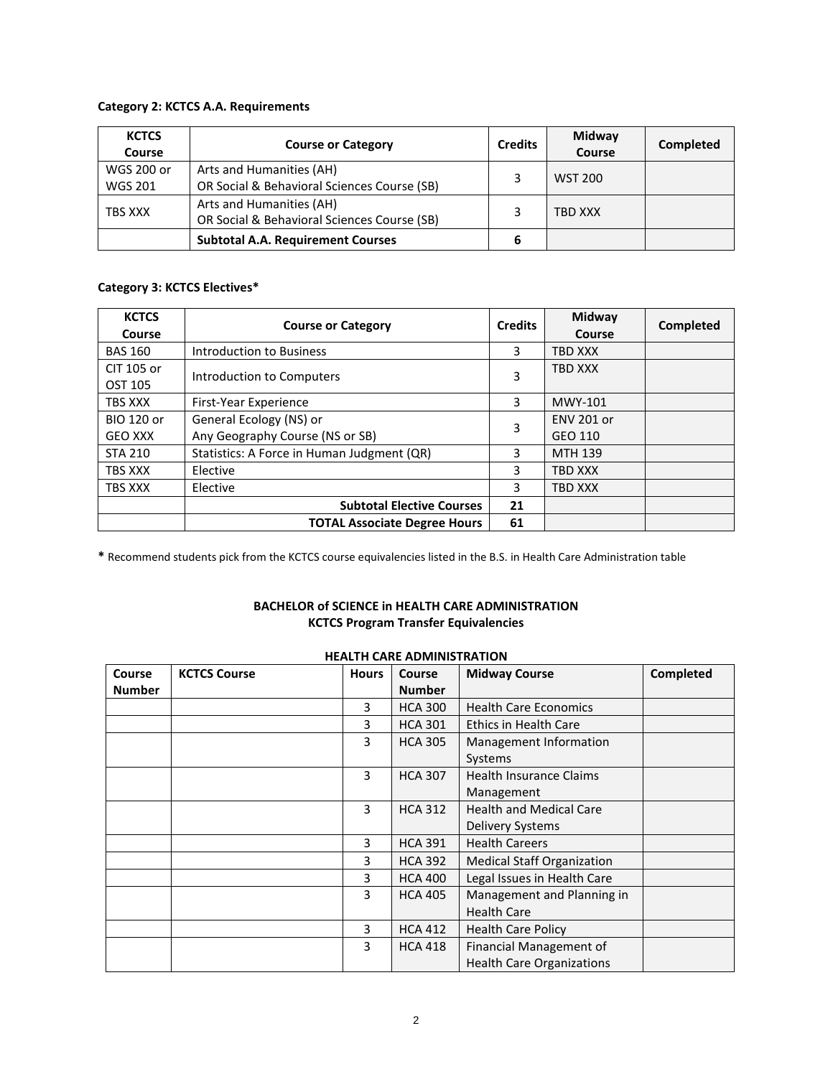#### **Category 2: KCTCS A.A. Requirements**

| <b>KCTCS</b><br>Course | <b>Course or Category</b>                   | <b>Credits</b> | Midway<br>Course | Completed |
|------------------------|---------------------------------------------|----------------|------------------|-----------|
| WGS 200 or             | Arts and Humanities (AH)                    |                | <b>WST 200</b>   |           |
| <b>WGS 201</b>         | OR Social & Behavioral Sciences Course (SB) |                |                  |           |
| TBS XXX                | Arts and Humanities (AH)                    |                | TBD XXX          |           |
|                        | OR Social & Behavioral Sciences Course (SB) |                |                  |           |
|                        | <b>Subtotal A.A. Requirement Courses</b>    | 6              |                  |           |

### **Category 3: KCTCS Electives\***

| <b>KCTCS</b><br>Course              | <b>Course or Category</b>                                  |    | Midway<br>Course             | Completed |
|-------------------------------------|------------------------------------------------------------|----|------------------------------|-----------|
| <b>BAS 160</b>                      | Introduction to Business                                   | 3  | <b>TBD XXX</b>               |           |
| CIT 105 or<br>OST 105               | Introduction to Computers                                  |    | <b>TBD XXX</b>               |           |
| TBS XXX                             | <b>First-Year Experience</b>                               | 3  | MWY-101                      |           |
| <b>BIO 120 or</b><br><b>GEO XXX</b> | General Ecology (NS) or<br>Any Geography Course (NS or SB) |    | <b>ENV 201 or</b><br>GEO 110 |           |
| <b>STA 210</b>                      | Statistics: A Force in Human Judgment (QR)                 |    | <b>MTH 139</b>               |           |
| TBS XXX                             | Elective                                                   |    | <b>TBD XXX</b>               |           |
| TBS XXX                             | Elective                                                   |    | <b>TBD XXX</b>               |           |
|                                     | <b>Subtotal Elective Courses</b>                           | 21 |                              |           |
|                                     | <b>TOTAL Associate Degree Hours</b>                        | 61 |                              |           |

**\*** Recommend students pick from the KCTCS course equivalencies listed in the B.S. in Health Care Administration table

## **BACHELOR of SCIENCE in HEALTH CARE ADMINISTRATION KCTCS Program Transfer Equivalencies**

| <b>HEALTH CARE ADMINISTRATION</b> |                     |              |                |                                   |           |  |
|-----------------------------------|---------------------|--------------|----------------|-----------------------------------|-----------|--|
| Course                            | <b>KCTCS Course</b> | <b>Hours</b> | <b>Course</b>  | <b>Midway Course</b>              | Completed |  |
| <b>Number</b>                     |                     |              | <b>Number</b>  |                                   |           |  |
|                                   |                     | 3            | <b>HCA 300</b> | <b>Health Care Economics</b>      |           |  |
|                                   |                     | 3            | <b>HCA 301</b> | <b>Ethics in Health Care</b>      |           |  |
|                                   |                     | 3            | <b>HCA 305</b> | Management Information            |           |  |
|                                   |                     |              |                | Systems                           |           |  |
|                                   |                     | 3            | <b>HCA 307</b> | <b>Health Insurance Claims</b>    |           |  |
|                                   |                     |              |                | Management                        |           |  |
|                                   |                     | 3            | <b>HCA 312</b> | <b>Health and Medical Care</b>    |           |  |
|                                   |                     |              |                | Delivery Systems                  |           |  |
|                                   |                     | 3            | <b>HCA 391</b> | <b>Health Careers</b>             |           |  |
|                                   |                     | 3            | <b>HCA 392</b> | <b>Medical Staff Organization</b> |           |  |
|                                   |                     | 3            | <b>HCA 400</b> | Legal Issues in Health Care       |           |  |
|                                   |                     | 3            | <b>HCA 405</b> | Management and Planning in        |           |  |
|                                   |                     |              |                | <b>Health Care</b>                |           |  |
|                                   |                     | 3            | <b>HCA 412</b> | <b>Health Care Policy</b>         |           |  |
|                                   |                     | 3            | <b>HCA 418</b> | Financial Management of           |           |  |
|                                   |                     |              |                | <b>Health Care Organizations</b>  |           |  |